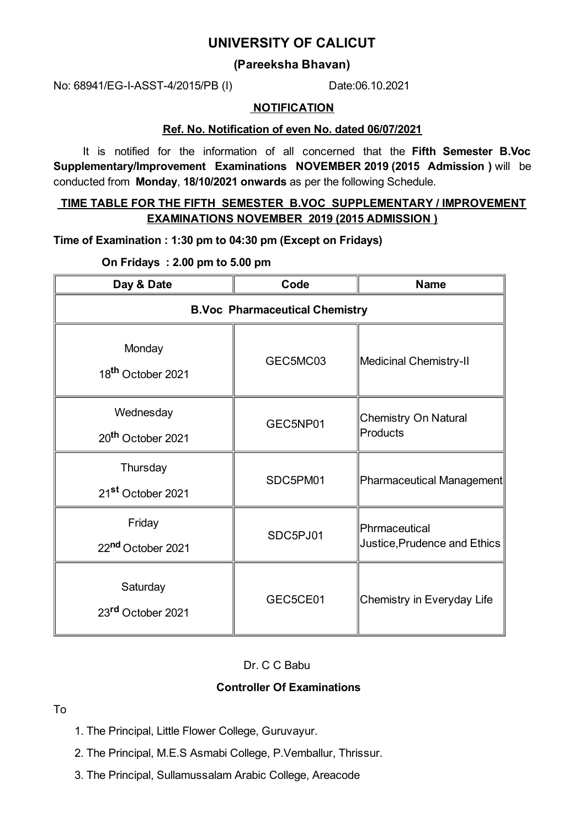# **UNIVERSITY OF CALICUT**

## **(Pareeksha Bhavan)**

No: 68941/EG-I-ASST-4/2015/PB (I) Date:06.10.2021

#### **NOTIFICATION**

### **Ref. No. Notification of even No. dated 06/07/2021**

It is notified for the information of all concerned that the **Fifth Semester B.Voc Supplementary/Improvement Examinations NOVEMBER 2019 (2015 Admission )** will be conducted from **Monday**, **18/10/2021 onwards** as per the following Schedule.

### **TIME TABLE FOR THE FIFTH SEMESTER B.VOC SUPPLEMENTARY / IMPROVEMENT EXAMINATIONS NOVEMBER 2019 (2015 ADMISSION )**

**Time of Examination : 1:30 pm to 04:30 pm (Except on Fridays)**

**On Fridays : 2.00 pm to 5.00 pm**

| Day & Date                                 | Code     | <b>Name</b>                                   |
|--------------------------------------------|----------|-----------------------------------------------|
| <b>B.Voc Pharmaceutical Chemistry</b>      |          |                                               |
| Monday<br>18 <sup>th</sup> October 2021    | GEC5MC03 | Medicinal Chemistry-II                        |
| Wednesday<br>20 <sup>th</sup> October 2021 | GEC5NP01 | <b>Chemistry On Natural</b><br>Products       |
| Thursday<br>21 <sup>st</sup> October 2021  | SDC5PM01 | Pharmaceutical Management                     |
| Friday<br>22nd October 2021                | SDC5PJ01 | Phrmaceutical<br>Justice, Prudence and Ethics |
| Saturday<br>23rd October 2021              | GEC5CE01 | Chemistry in Everyday Life                    |

## Dr. C C Babu

### **Controller Of Examinations**

### To

- 1. The Principal, Little Flower College, Guruvayur.
- 2. The Principal, M.E.S Asmabi College, P.Vemballur, Thrissur.
- 3. The Principal, Sullamussalam Arabic College, Areacode